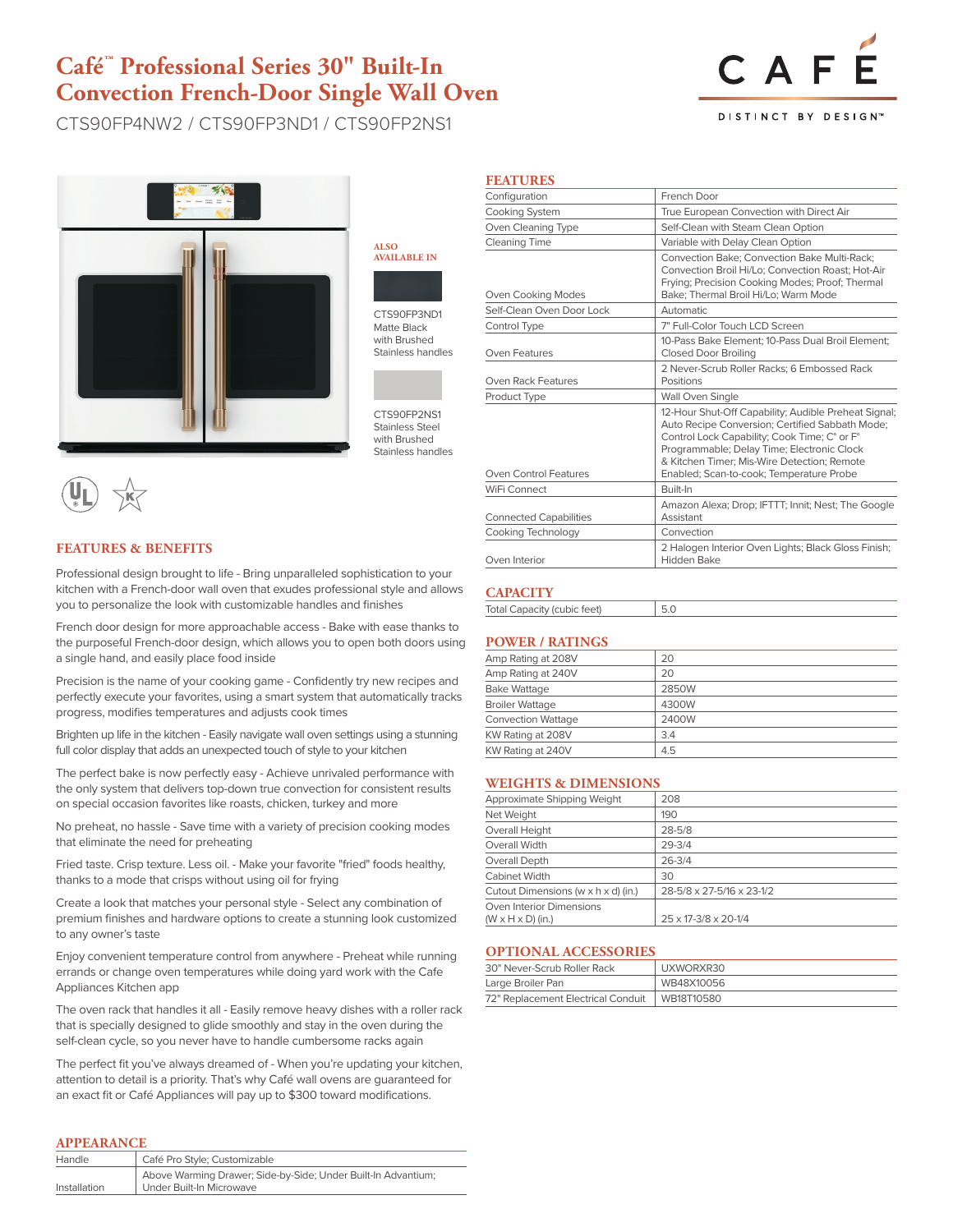# **Café™ Professional Series 30" Built-In Convection French-Door Single Wall Oven**

CTS90FP4NW2 / CTS90FP3ND1 / CTS90FP2NS1



**ALSO AVAILABLE IN**



CTS90FP3ND1 Matte Black with Brushed Stainless handles

CTS90FP2NS1 Stainless Steel with Brushed Stainless handles

# **FEATURES & BENEFITS**

Professional design brought to life - Bring unparalleled sophistication to your kitchen with a French-door wall oven that exudes professional style and allows you to personalize the look with customizable handles and finishes

French door design for more approachable access - Bake with ease thanks to the purposeful French-door design, which allows you to open both doors using a single hand, and easily place food inside

Precision is the name of your cooking game - Confidently try new recipes and perfectly execute your favorites, using a smart system that automatically tracks progress, modifies temperatures and adjusts cook times

Brighten up life in the kitchen - Easily navigate wall oven settings using a stunning full color display that adds an unexpected touch of style to your kitchen

The perfect bake is now perfectly easy - Achieve unrivaled performance with the only system that delivers top-down true convection for consistent results on special occasion favorites like roasts, chicken, turkey and more

No preheat, no hassle - Save time with a variety of precision cooking modes that eliminate the need for preheating

Fried taste. Crisp texture. Less oil. - Make your favorite "fried" foods healthy, thanks to a mode that crisps without using oil for frying

Create a look that matches your personal style - Select any combination of premium finishes and hardware options to create a stunning look customized to any owner's taste

Enjoy convenient temperature control from anywhere - Preheat while running errands or change oven temperatures while doing yard work with the Cafe Appliances Kitchen app

The oven rack that handles it all - Easily remove heavy dishes with a roller rack that is specially designed to glide smoothly and stay in the oven during the self-clean cycle, so you never have to handle cumbersome racks again

The perfect fit you've always dreamed of - When you're updating your kitchen, attention to detail is a priority. That's why Café wall ovens are guaranteed for an exact fit or Café Appliances will pay up to \$300 toward modifications.

## **APPEARANCE**

| Café Pro Style; Customizable                                                              |
|-------------------------------------------------------------------------------------------|
| Above Warming Drawer; Side-by-Side; Under Built-In Advantium;<br>Under Built-In Microwave |
|                                                                                           |

| Configuration                 | French Door                                                                                                                                                                                                                                                                                      |  |
|-------------------------------|--------------------------------------------------------------------------------------------------------------------------------------------------------------------------------------------------------------------------------------------------------------------------------------------------|--|
| <b>Cooking System</b>         | True European Convection with Direct Air                                                                                                                                                                                                                                                         |  |
| Oven Cleaning Type            | Self-Clean with Steam Clean Option                                                                                                                                                                                                                                                               |  |
| Cleaning Time                 | Variable with Delay Clean Option                                                                                                                                                                                                                                                                 |  |
| Oven Cooking Modes            | Convection Bake; Convection Bake Multi-Rack;<br>Convection Broil Hi/Lo: Convection Roast: Hot-Air<br>Frying; Precision Cooking Modes; Proof; Thermal<br>Bake; Thermal Broil Hi/Lo; Warm Mode                                                                                                     |  |
| Self-Clean Oven Door Lock     | Automatic                                                                                                                                                                                                                                                                                        |  |
| Control Type                  | 7" Full-Color Touch LCD Screen                                                                                                                                                                                                                                                                   |  |
| Oven Features                 | 10-Pass Bake Element: 10-Pass Dual Broil Element:<br><b>Closed Door Broiling</b>                                                                                                                                                                                                                 |  |
| Oven Rack Features            | 2 Never-Scrub Roller Racks: 6 Embossed Rack<br>Positions                                                                                                                                                                                                                                         |  |
| Product Type                  | Wall Oven Single                                                                                                                                                                                                                                                                                 |  |
| Oven Control Features         | 12-Hour Shut-Off Capability; Audible Preheat Signal;<br>Auto Recipe Conversion; Certified Sabbath Mode;<br>Control Lock Capability; Cook Time; C° or F°<br>Programmable; Delay Time; Electronic Clock<br>& Kitchen Timer: Mis-Wire Detection: Remote<br>Enabled; Scan-to-cook; Temperature Probe |  |
| WiFi Connect                  | Built-In                                                                                                                                                                                                                                                                                         |  |
| <b>Connected Capabilities</b> | Amazon Alexa; Drop; IFTTT; Innit; Nest; The Google<br>Assistant                                                                                                                                                                                                                                  |  |
| Cooking Technology            | Convection                                                                                                                                                                                                                                                                                       |  |
| Oven Interior                 | 2 Halogen Interior Oven Lights; Black Gloss Finish;<br>Hidden Bake                                                                                                                                                                                                                               |  |

## **CAPACITY**

**FEATURES**

Total Capacity (cubic feet) 5.0

## **POWER / RATINGS**

| 20    |
|-------|
| 20    |
| 2850W |
| 4300W |
| 2400W |
| 3.4   |
| 4.5   |
|       |

### **WEIGHTS & DIMENSIONS**

| Approximate Shipping Weight         | 208                       |
|-------------------------------------|---------------------------|
| Net Weight                          | 190                       |
| Overall Height                      | $28 - 5/8$                |
| Overall Width                       | $29 - 3/4$                |
| Overall Depth                       | $26 - 3/4$                |
| Cabinet Width                       | 30                        |
| Cutout Dimensions (w x h x d) (in.) | 28-5/8 x 27-5/16 x 23-1/2 |
| Oven Interior Dimensions            |                           |
| $(W \times H \times D)$ (in.)       | 25 x 17-3/8 x 20-1/4      |

#### **OPTIONAL ACCESSORIES**

| 30" Never-Scrub Roller Rack        | UXWORXR30  |  |
|------------------------------------|------------|--|
| Large Broiler Pan                  | WB48X10056 |  |
| 72" Replacement Electrical Conduit | WB18T10580 |  |



DISTINCT BY DESIGN<sup>®</sup>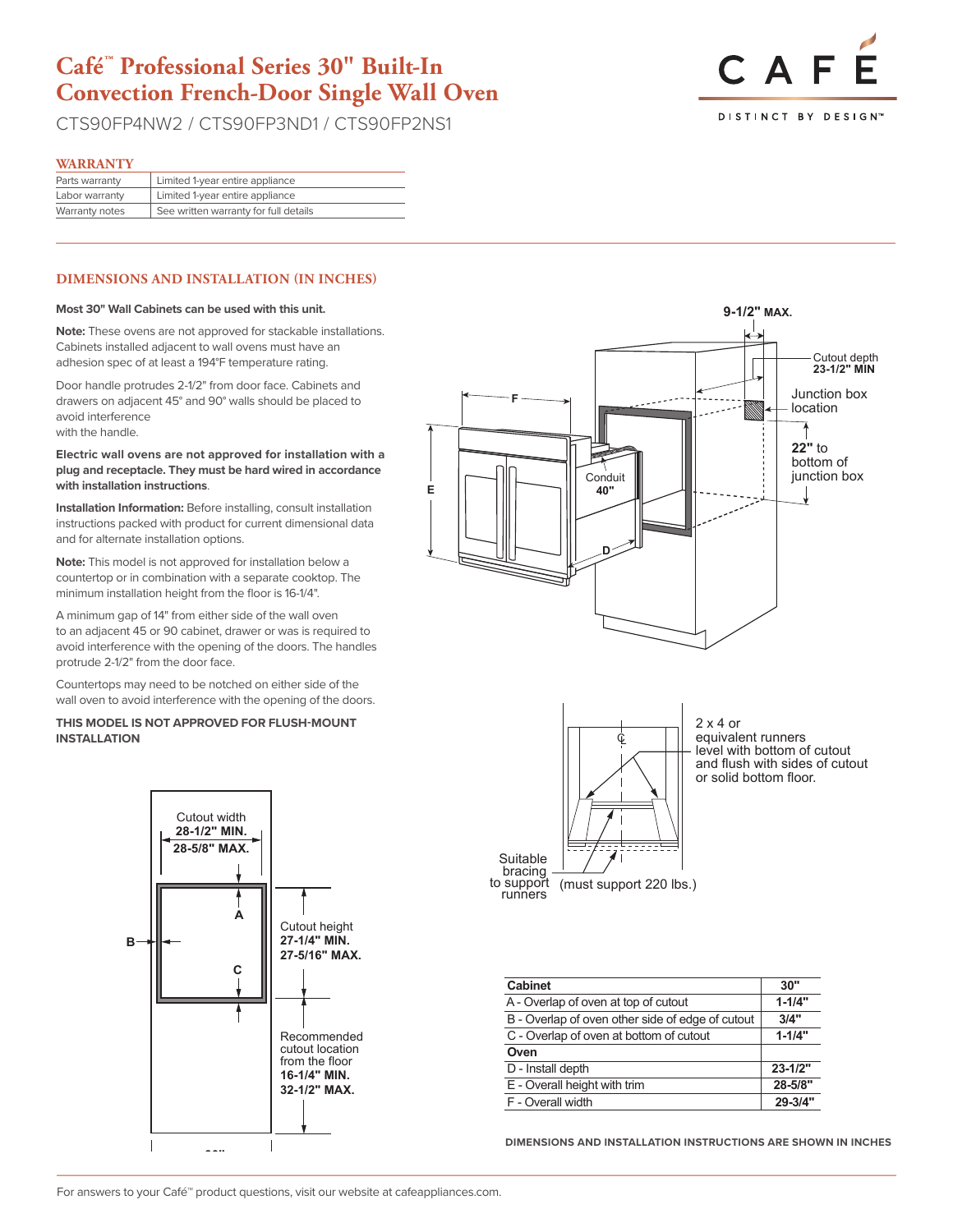# **Café™ Professional Series 30" Built-In Convection French-Door Single Wall Oven**

CTS90FP4NW2 / CTS90FP3ND1 / CTS90FP2NS1



#### **WARRANTY**

| Limited 1-year entire appliance       |
|---------------------------------------|
| Limited 1-year entire appliance       |
| See written warranty for full details |
|                                       |

### **DIMENSIONS AND INSTALLATION (IN INCHES)**

#### **Most 30" Wall Cabinets can be used with this unit.**

**Note:** These ovens are not approved for stackable installations. Cabinets installed adjacent to wall ovens must have an adhesion spec of at least a 194°F temperature rating.

Door handle protrudes 2-1/2" from door face. Cabinets and drawers on adjacent 45° and 90° walls should be placed to avoid interference with the handle.

#### **Electric wall ovens are not approved for installation with a**  plug and receptacle. They must be hard wired in accordance<br>with installation instructions **with installation instructions**.

**Installation Information:** Before installing, consult installation instructions packed with product for current dimensional data and for alternate installation options.

**Note:** This model is not approved for installation below a countertop or in combination with a separate cooktop. The **22"** to minimum installation height from the floor is 16-1/4".

A minimum gap of 14" from either side of the wall oven to an adjacent 45 or 90 cabinet, drawer or was is required to **40"** avoid interference with the opening of the doors. The handles protrude 2-1/2" from the door face.

Countertops may need to be notched on either side of the **D** wall oven to avoid interference with the opening of the doors.

#### **THIS MODEL IS NOT APPROVED FOR FLUSH-MOUNT INSTALLATION**







| <b>Cabinet</b>                                   | 30"         |
|--------------------------------------------------|-------------|
| A - Overlap of oven at top of cutout             | $1 - 1/4"$  |
| B - Overlap of oven other side of edge of cutout | 3/4"        |
| C - Overlap of oven at bottom of cutout          | $1 - 1/4"$  |
| Oven                                             |             |
| D - Install depth                                | $23 - 1/2"$ |
| E - Overall height with trim                     | 28-5/8"     |
| F - Overall width                                | 29-3/4"     |

**DIMENSIONS AND INSTALLATION INSTRUCTIONS ARE SHOWN IN INCHES**